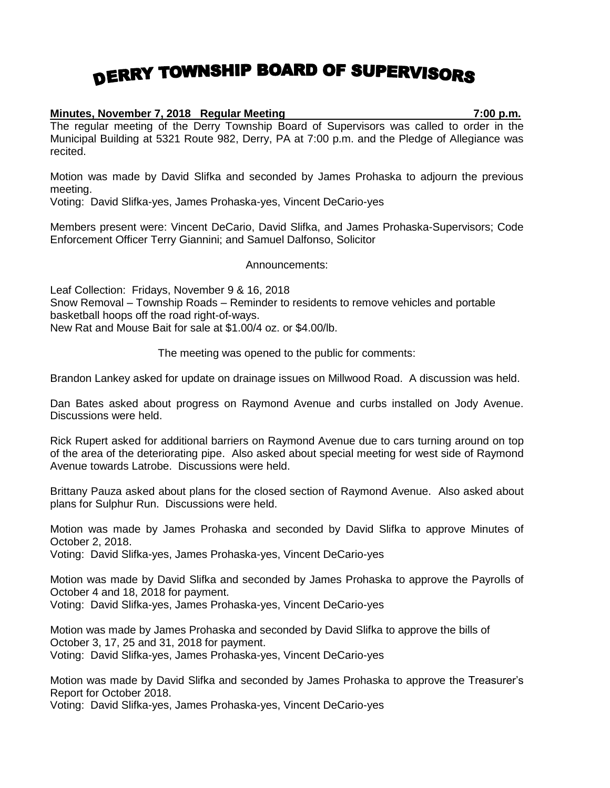## DERRY TOWNSHIP BOARD OF SUPERVISORS

## **Minutes, November 7, 2018 Regular Meeting 7:00 p.m.**

The regular meeting of the Derry Township Board of Supervisors was called to order in the Municipal Building at 5321 Route 982, Derry, PA at 7:00 p.m. and the Pledge of Allegiance was recited.

Motion was made by David Slifka and seconded by James Prohaska to adjourn the previous meeting.

Voting: David Slifka-yes, James Prohaska-yes, Vincent DeCario-yes

Members present were: Vincent DeCario, David Slifka, and James Prohaska-Supervisors; Code Enforcement Officer Terry Giannini; and Samuel Dalfonso, Solicitor

Announcements:

Leaf Collection: Fridays, November 9 & 16, 2018 Snow Removal – Township Roads – Reminder to residents to remove vehicles and portable basketball hoops off the road right-of-ways. New Rat and Mouse Bait for sale at \$1.00/4 oz. or \$4.00/lb.

The meeting was opened to the public for comments:

Brandon Lankey asked for update on drainage issues on Millwood Road. A discussion was held.

Dan Bates asked about progress on Raymond Avenue and curbs installed on Jody Avenue. Discussions were held.

Rick Rupert asked for additional barriers on Raymond Avenue due to cars turning around on top of the area of the deteriorating pipe. Also asked about special meeting for west side of Raymond Avenue towards Latrobe. Discussions were held.

Brittany Pauza asked about plans for the closed section of Raymond Avenue. Also asked about plans for Sulphur Run. Discussions were held.

Motion was made by James Prohaska and seconded by David Slifka to approve Minutes of October 2, 2018.

Voting: David Slifka-yes, James Prohaska-yes, Vincent DeCario-yes

Motion was made by David Slifka and seconded by James Prohaska to approve the Payrolls of October 4 and 18, 2018 for payment.

Voting: David Slifka-yes, James Prohaska-yes, Vincent DeCario-yes

Motion was made by James Prohaska and seconded by David Slifka to approve the bills of October 3, 17, 25 and 31, 2018 for payment. Voting: David Slifka-yes, James Prohaska-yes, Vincent DeCario-yes

Motion was made by David Slifka and seconded by James Prohaska to approve the Treasurer's Report for October 2018.

Voting: David Slifka-yes, James Prohaska-yes, Vincent DeCario-yes